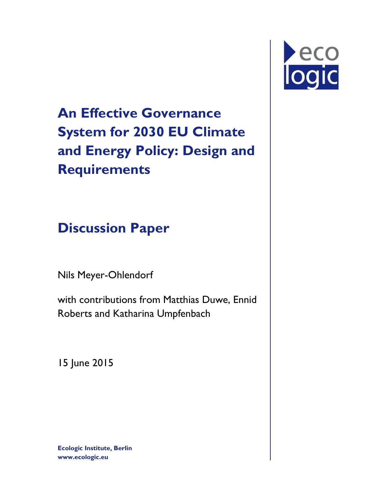# Peco

**An Effective Governance System for 2030 EU Climate and Energy Policy: Design and Requirements**

**Discussion Paper** 

Nils Meyer-Ohlendorf

with contributions from Matthias Duwe, Ennid Roberts and Katharina Umpfenbach

15 June 2015

**Ecologic Institute, Berlin www.ecologic.eu**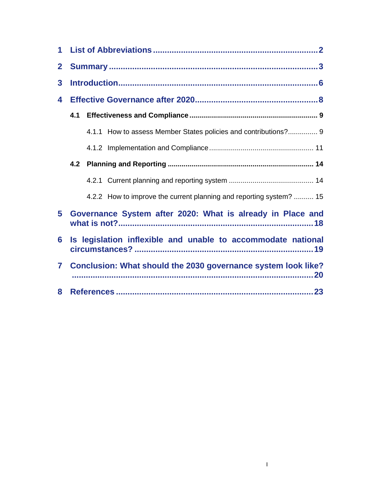| 1            |                                                                     |  |  |  |  |  |  |  |
|--------------|---------------------------------------------------------------------|--|--|--|--|--|--|--|
| $\mathbf{2}$ |                                                                     |  |  |  |  |  |  |  |
| 3            |                                                                     |  |  |  |  |  |  |  |
| 4            |                                                                     |  |  |  |  |  |  |  |
|              | 4.1                                                                 |  |  |  |  |  |  |  |
|              | 4.1.1 How to assess Member States policies and contributions? 9     |  |  |  |  |  |  |  |
|              |                                                                     |  |  |  |  |  |  |  |
|              | 4.2                                                                 |  |  |  |  |  |  |  |
|              |                                                                     |  |  |  |  |  |  |  |
|              | 4.2.2 How to improve the current planning and reporting system?  15 |  |  |  |  |  |  |  |
| 5            | Governance System after 2020: What is already in Place and          |  |  |  |  |  |  |  |
| 6            | Is legislation inflexible and unable to accommodate national        |  |  |  |  |  |  |  |
| 7            | Conclusion: What should the 2030 governance system look like?       |  |  |  |  |  |  |  |
| 8            |                                                                     |  |  |  |  |  |  |  |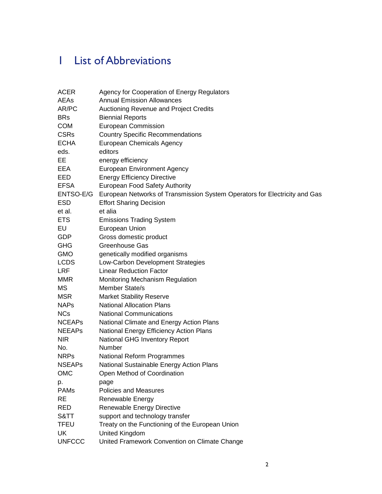# 1 List of Abbreviations

| <b>ACER</b>   | Agency for Cooperation of Energy Regulators                                |
|---------------|----------------------------------------------------------------------------|
| AEAs          | <b>Annual Emission Allowances</b>                                          |
| AR/PC         | <b>Auctioning Revenue and Project Credits</b>                              |
| <b>BRs</b>    | <b>Biennial Reports</b>                                                    |
| <b>COM</b>    | <b>European Commission</b>                                                 |
| <b>CSRs</b>   | <b>Country Specific Recommendations</b>                                    |
| <b>ECHA</b>   | <b>European Chemicals Agency</b>                                           |
| eds.          | editors                                                                    |
| EE.           | energy efficiency                                                          |
| EEA           | <b>European Environment Agency</b>                                         |
| EED           | <b>Energy Efficiency Directive</b>                                         |
| <b>EFSA</b>   | European Food Safety Authority                                             |
| ENTSO-E/G     | European Networks of Transmission System Operators for Electricity and Gas |
| <b>ESD</b>    | <b>Effort Sharing Decision</b>                                             |
| et al.        | et alia                                                                    |
| <b>ETS</b>    | <b>Emissions Trading System</b>                                            |
| EU            | European Union                                                             |
| <b>GDP</b>    | Gross domestic product                                                     |
| <b>GHG</b>    | <b>Greenhouse Gas</b>                                                      |
| <b>GMO</b>    | genetically modified organisms                                             |
| <b>LCDS</b>   | Low-Carbon Development Strategies                                          |
| <b>LRF</b>    | <b>Linear Reduction Factor</b>                                             |
| <b>MMR</b>    | <b>Monitoring Mechanism Regulation</b>                                     |
| МS            | Member State/s                                                             |
| <b>MSR</b>    | <b>Market Stability Reserve</b>                                            |
| <b>NAPs</b>   | <b>National Allocation Plans</b>                                           |
| <b>NCs</b>    | <b>National Communications</b>                                             |
| <b>NCEAPs</b> | National Climate and Energy Action Plans                                   |
| <b>NEEAPs</b> | National Energy Efficiency Action Plans                                    |
| <b>NIR</b>    | <b>National GHG Inventory Report</b>                                       |
| No.           | <b>Number</b>                                                              |
| <b>NRPs</b>   | National Reform Programmes                                                 |
| <b>NSEAPs</b> | National Sustainable Energy Action Plans                                   |
| <b>OMC</b>    | Open Method of Coordination                                                |
| p.            | page                                                                       |
| <b>PAMs</b>   | <b>Policies and Measures</b>                                               |
| <b>RE</b>     | Renewable Energy                                                           |
| RED           | Renewable Energy Directive                                                 |
| S&TT          | support and technology transfer                                            |
| <b>TFEU</b>   | Treaty on the Functioning of the European Union                            |
| UK            | United Kingdom                                                             |
| <b>UNFCCC</b> | United Framework Convention on Climate Change                              |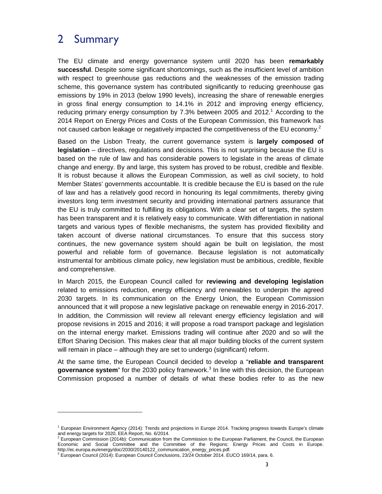## 2 Summary

-

The EU climate and energy governance system until 2020 has been **remarkably successful**. Despite some significant shortcomings, such as the insufficient level of ambition with respect to greenhouse gas reductions and the weaknesses of the emission trading scheme, this governance system has contributed significantly to reducing greenhouse gas emissions by 19% in 2013 (below 1990 levels), increasing the share of renewable energies in gross final energy consumption to 14.1% in 2012 and improving energy efficiency, reducing primary energy consumption by 7.3% between 2005 and 2012. $^1$  According to the 2014 Report on Energy Prices and Costs of the European Commission, this framework has not caused carbon leakage or negatively impacted the competitiveness of the EU economy.<sup>2</sup>

Based on the Lisbon Treaty, the current governance system is **largely composed of legislation** – directives, regulations and decisions. This is not surprising because the EU is based on the rule of law and has considerable powers to legislate in the areas of climate change and energy. By and large, this system has proved to be robust, credible and flexible. It is robust because it allows the European Commission, as well as civil society, to hold Member States' governments accountable. It is credible because the EU is based on the rule of law and has a relatively good record in honouring its legal commitments, thereby giving investors long term investment security and providing international partners assurance that the EU is truly committed to fulfilling its obligations. With a clear set of targets, the system has been transparent and it is relatively easy to communicate. With differentiation in national targets and various types of flexible mechanisms, the system has provided flexibility and taken account of diverse national circumstances. To ensure that this success story continues, the new governance system should again be built on legislation, the most powerful and reliable form of governance. Because legislation is not automatically instrumental for ambitious climate policy, new legislation must be ambitious, credible, flexible and comprehensive.

In March 2015, the European Council called for **reviewing and developing legislation** related to emissions reduction, energy efficiency and renewables to underpin the agreed 2030 targets. In its communication on the Energy Union, the European Commission announced that it will propose a new legislative package on renewable energy in 2016-2017. In addition, the Commission will review all relevant energy efficiency legislation and will propose revisions in 2015 and 2016; it will propose a road transport package and legislation on the internal energy market. Emissions trading will continue after 2020 and so will the Effort Sharing Decision. This makes clear that all major building blocks of the current system will remain in place – although they are set to undergo (significant) reform.

At the same time, the European Council decided to develop a "**reliable and transparent**  governance system" for the 2030 policy framework.<sup>3</sup> In line with this decision, the European Commission proposed a number of details of what these bodies refer to as the new

<sup>1</sup> European Environment Agency (2014): Trends and projections in Europe 2014. Tracking progress towards Europe's climate and energy targets for 2020, EEA Report, No. 6/2014.<br><sup>2</sup> European Commission (2014b): Communication from

European Commission (2014b): Communication from the Commission to the European Parliament, the Council, the European Economic and Social Committee and the Committee of the Regions: Energy Prices and Costs in Europe. http://ec.europa.eu/energy/doc/2030/20140122\_communication\_energy\_prices.pdf.

<sup>3</sup> European Council (2014): European Council Conclusions, 23/24 October 2014. EUCO 169/14, para. 6.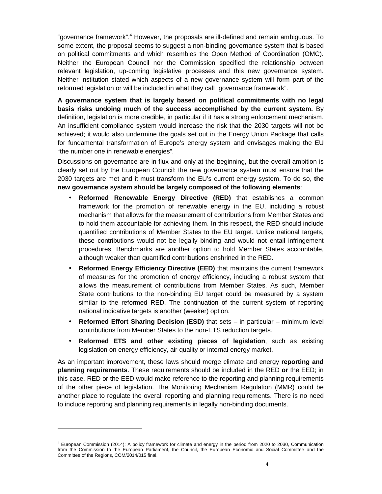"governance framework".<sup>4</sup> However, the proposals are ill-defined and remain ambiguous. To some extent, the proposal seems to suggest a non-binding governance system that is based on political commitments and which resembles the Open Method of Coordination (OMC). Neither the European Council nor the Commission specified the relationship between relevant legislation, up-coming legislative processes and this new governance system. Neither institution stated which aspects of a new governance system will form part of the reformed legislation or will be included in what they call "governance framework".

**A governance system that is largely based on political commitments with no legal basis risks undoing much of the success accomplished by the current system.** By definition, legislation is more credible, in particular if it has a strong enforcement mechanism. An insufficient compliance system would increase the risk that the 2030 targets will not be achieved; it would also undermine the goals set out in the Energy Union Package that calls for fundamental transformation of Europe's energy system and envisages making the EU "the number one in renewable energies".

Discussions on governance are in flux and only at the beginning, but the overall ambition is clearly set out by the European Council: the new governance system must ensure that the 2030 targets are met and it must transform the EU's current energy system. To do so, **the new governance system should be largely composed of the following elements**:

- **Reformed Renewable Energy Directive (RED)** that establishes a common framework for the promotion of renewable energy in the EU, including a robust mechanism that allows for the measurement of contributions from Member States and to hold them accountable for achieving them. In this respect, the RED should include quantified contributions of Member States to the EU target. Unlike national targets, these contributions would not be legally binding and would not entail infringement procedures. Benchmarks are another option to hold Member States accountable, although weaker than quantified contributions enshrined in the RED.
- **Reformed Energy Efficiency Directive (EED)** that maintains the current framework of measures for the promotion of energy efficiency, including a robust system that allows the measurement of contributions from Member States. As such, Member State contributions to the non-binding EU target could be measured by a system similar to the reformed RED. The continuation of the current system of reporting national indicative targets is another (weaker) option.
- **Reformed Effort Sharing Decision (ESD)** that sets in particular minimum level contributions from Member States to the non-ETS reduction targets.
- **Reformed ETS and other existing pieces of legislation**, such as existing legislation on energy efficiency, air quality or internal energy market.

As an important improvement, these laws should merge climate and energy **reporting and planning requirements**. These requirements should be included in the RED **or** the EED; in this case, RED or the EED would make reference to the reporting and planning requirements of the other piece of legislation. The Monitoring Mechanism Regulation (MMR) could be another place to regulate the overall reporting and planning requirements. There is no need to include reporting and planning requirements in legally non-binding documents.

<sup>4</sup> European Commission (2014): A policy framework for climate and energy in the period from 2020 to 2030, Communication from the Commission to the European Parliament, the Council, the European Economic and Social Committee and the Committee of the Regions, COM/2014/015 final.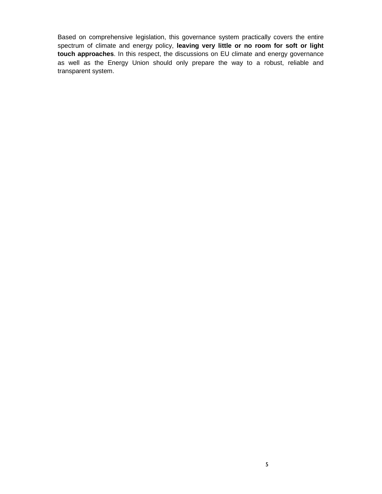Based on comprehensive legislation, this governance system practically covers the entire spectrum of climate and energy policy, **leaving very little or no room for soft or light touch approaches**. In this respect, the discussions on EU climate and energy governance as well as the Energy Union should only prepare the way to a robust, reliable and transparent system.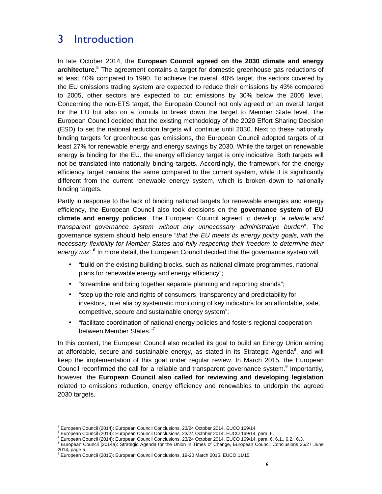## 3 Introduction

In late October 2014, the **European Council agreed on the 2030 climate and energy**  architecture.<sup>5</sup> The agreement contains a target for domestic greenhouse gas reductions of at least 40% compared to 1990. To achieve the overall 40% target, the sectors covered by the EU emissions trading system are expected to reduce their emissions by 43% compared to 2005, other sectors are expected to cut emissions by 30% below the 2005 level. Concerning the non-ETS target, the European Council not only agreed on an overall target for the EU but also on a formula to break down the target to Member State level. The European Council decided that the existing methodology of the 2020 Effort Sharing Decision (ESD) to set the national reduction targets will continue until 2030. Next to these nationally binding targets for greenhouse gas emissions, the European Council adopted targets of at least 27% for renewable energy and energy savings by 2030. While the target on renewable energy is binding for the EU, the energy efficiency target is only indicative. Both targets will not be translated into nationally binding targets. Accordingly, the framework for the energy efficiency target remains the same compared to the current system, while it is significantly different from the current renewable energy system, which is broken down to nationally binding targets.

Partly in response to the lack of binding national targets for renewable energies and energy efficiency, the European Council also took decisions on the **governance system of EU climate and energy policies**. The European Council agreed to develop "a reliable and transparent governance system without any unnecessary administrative burden". The governance system should help ensure "that the EU meets its energy policy goals, with the necessary flexibility for Member States and fully respecting their freedom to determine their energy mix".<sup>6</sup> In more detail, the European Council decided that the governance system will

- "build on the existing building blocks, such as national climate programmes, national plans for renewable energy and energy efficiency";
- "streamline and bring together separate planning and reporting strands";
- "step up the role and rights of consumers, transparency and predictability for investors, inter alia by systematic monitoring of key indicators for an affordable, safe, competitive, secure and sustainable energy system";
- "facilitate coordination of national energy policies and fosters regional cooperation between Member States."<sup>7</sup>

In this context, the European Council also recalled its goal to build an Energy Union aiming at affordable, secure and sustainable energy, as stated in its Strategic Agenda $^8$ , and will keep the implementation of this goal under regular review. In March 2015, the European Council reconfirmed the call for a reliable and transparent governance system.<sup>9</sup> Importantly, however, the **European Council also called for reviewing and developing legislation** related to emissions reduction, energy efficiency and renewables to underpin the agreed 2030 targets.

<sup>5</sup> European Council (2014): European Council Conclusions, 23/24 October 2014. EUCO 169/14.

<sup>&</sup>lt;sup>6</sup> European Council (2014): European Council Conclusions, 23/24 October 2014. EUCO 169/14, para. 6.

<sup>7</sup> European Council (2014): European Council Conclusions, 23/24 October 2014. EUCO 169/14, para. 6, 6.1., 6.2., 6.3.

<sup>&</sup>lt;sup>8</sup> European Council (2014a): Strategic Agenda for the Union in Times of Change, European Council Conclusions 26/27 June 2014, page 5.

<sup>&</sup>lt;sup>9</sup> European Council (2015): European Council Conclusions, 19-20 March 2015, EUCO 11/15.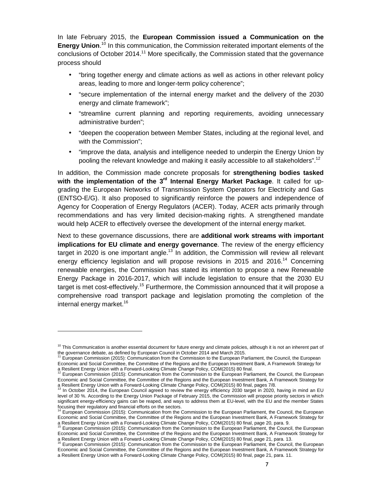In late February 2015, the **European Commission issued a Communication on the**  Energy Union.<sup>10</sup> In this communication, the Commission reiterated important elements of the conclusions of October 2014.<sup>11</sup> More specifically, the Commission stated that the governance process should

- "bring together energy and climate actions as well as actions in other relevant policy areas, leading to more and longer-term policy coherence";
- "secure implementation of the internal energy market and the delivery of the 2030 energy and climate framework";
- "streamline current planning and reporting requirements, avoiding unnecessary administrative burden";
- "deepen the cooperation between Member States, including at the regional level, and with the Commission";
- "improve the data, analysis and intelligence needed to underpin the Energy Union by pooling the relevant knowledge and making it easily accessible to all stakeholders".<sup>12</sup>

In addition, the Commission made concrete proposals for **strengthening bodies tasked with the implementation of the 3rd Internal Energy Market Package**. It called for upgrading the European Networks of Transmission System Operators for Electricity and Gas (ENTSO-E/G). It also proposed to significantly reinforce the powers and independence of Agency for Cooperation of Energy Regulators (ACER). Today, ACER acts primarily through recommendations and has very limited decision-making rights. A strengthened mandate would help ACER to effectively oversee the development of the internal energy market.

Next to these governance discussions, there are **additional work streams with important implications for EU climate and energy governance**. The review of the energy efficiency target in 2020 is one important angle.<sup>13</sup> In addition, the Commission will review all relevant energy efficiency legislation and will propose revisions in 2015 and 2016.<sup>14</sup> Concerning renewable energies, the Commission has stated its intention to propose a new Renewable Energy Package in 2016-2017, which will include legislation to ensure that the 2030 EU target is met cost-effectively.<sup>15</sup> Furthermore, the Commission announced that it will propose a comprehensive road transport package and legislation promoting the completion of the internal energy market.<sup>16</sup>

 $10$  This Communication is another essential document for future energy and climate policies, although it is not an inherent part of the governance debate, as defined by European Council in October 2014 and March 2015.<br><sup>11</sup> European Council in October 2014 and March 2015.

<sup>11</sup> European Commission (2015): Communication from the Commission to the European Parliament, the Council, the European Economic and Social Committee, the Committee of the Regions and the European Investment Bank, A Framework Strategy for

a Resilient Energy Union with a Forward-Looking Climate Change Policy, COM(2015) 80 final.<br><sup>12</sup> European Commission (2015): Communication from the Commission to the European Parliament, the Council, the European Economic and Social Committee, the Committee of the Regions and the European Investment Bank, A Framework Strategy for a Resilient Energy Union with a Forward-Looking Climate Change Policy, COM(2015) 80 final, pages 7/8.<br><sup>13</sup> In October 2014, the Funcation Care Care Links Change Policy, COM(2015) 80 final, pages 7/8.

In October 2014, the European Council agreed to review the energy efficiency 2030 target in 2020, having in mind an EU level of 30 %. According to the Energy Union Package of February 2015, the Commission will propose priority sectors in which significant energy-efficiency gains can be reaped, and ways to address them at EU-level, with the EU and the member States

focusing their regulatory and financial efforts on the sectors.<br><sup>14</sup> European Commission (2015): Communication from the Commission to the European Parliament, the Council, the European Economic and Social Committee, the Committee of the Regions and the European Investment Bank, A Framework Strategy for a Resilient Energy Union with a Forward-Looking Climate Change Policy, COM(2015) 80 final, page 20, para. 9.

<sup>15</sup> European Commission (2015): Communication from the Commission to the European Parliament, the Council, the European Economic and Social Committee, the Committee of the Regions and the European Investment Bank, A Framework Strategy for a Resilient Energy Union with a Forward-Looking Climate Change Policy, COM(2015) 80 final, page 21, para. 13.<br><sup>16</sup> European Commission (2015): Carracterization with a Forward-Looking Climate Change Policy, COM(2015) 80 fin

<sup>16</sup> European Commission (2015): Communication from the Commission to the European Parliament, the Council, the European Economic and Social Committee, the Committee of the Regions and the European Investment Bank, A Framework Strategy for a Resilient Energy Union with a Forward-Looking Climate Change Policy, COM(2015) 80 final, page 21, para. 11.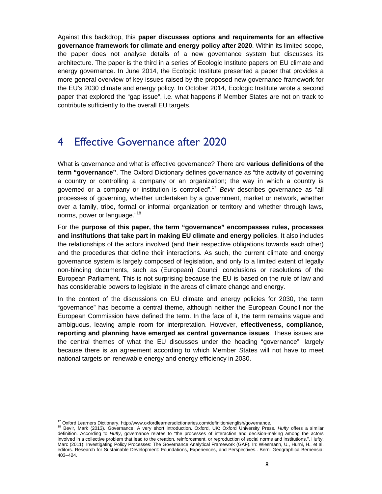Against this backdrop, this **paper discusses options and requirements for an effective governance framework for climate and energy policy after 2020**. Within its limited scope, the paper does not analyse details of a new governance system but discusses its architecture. The paper is the third in a series of Ecologic Institute papers on EU climate and energy governance. In June 2014, the Ecologic Institute presented a paper that provides a more general overview of key issues raised by the proposed new governance framework for the EU's 2030 climate and energy policy. In October 2014, Ecologic Institute wrote a second paper that explored the "gap issue", i.e. what happens if Member States are not on track to contribute sufficiently to the overall EU targets.

# 4 Effective Governance after 2020

What is governance and what is effective governance? There are **various definitions of the term "governance"**. The Oxford Dictionary defines governance as "the activity of governing a country or controlling a company or an organization; the way in which a country is governed or a company or institution is controlled".<sup>17</sup> Bevir describes governance as "all processes of governing, whether undertaken by a government, market or network, whether over a family, tribe, formal or informal organization or territory and whether through laws, norms, power or language."<sup>18</sup>

For the **purpose of this paper, the term "governance" encompasses rules, processes and institutions that take part in making EU climate and energy policies**. It also includes the relationships of the actors involved (and their respective obligations towards each other) and the procedures that define their interactions. As such, the current climate and energy governance system is largely composed of legislation, and only to a limited extent of legally non-binding documents, such as (European) Council conclusions or resolutions of the European Parliament. This is not surprising because the EU is based on the rule of law and has considerable powers to legislate in the areas of climate change and energy.

In the context of the discussions on EU climate and energy policies for 2030, the term "governance" has become a central theme, although neither the European Council nor the European Commission have defined the term. In the face of it, the term remains vague and ambiguous, leaving ample room for interpretation. However, **effectiveness, compliance, reporting and planning have emerged as central governance issues**. These issues are the central themes of what the EU discusses under the heading "governance", largely because there is an agreement according to which Member States will not have to meet national targets on renewable energy and energy efficiency in 2030.

<sup>&</sup>lt;sup>17</sup> Oxford Learners Dictionary, http://www.oxfordlearnersdictionaries.com/definition/english/governance.

<sup>&</sup>lt;sup>18</sup> Bevir, Mark (2013). Governance: A very short introduction. Oxford, UK: Oxford University Press. Hufty offers a similar definition. According to Hufty, governance relates to "the processes of interaction and decision-making among the actors involved in a collective problem that lead to the creation, reinforcement, or reproduction of social norms and institutions.", Hufty, Marc (2011): Investigating Policy Processes: The Governance Analytical Framework (GAF). In: Wiesmann, U., Hurni, H., et al. editors. Research for Sustainable Development: Foundations, Experiences, and Perspectives.. Bern: Geographica Bernensia: 403–424.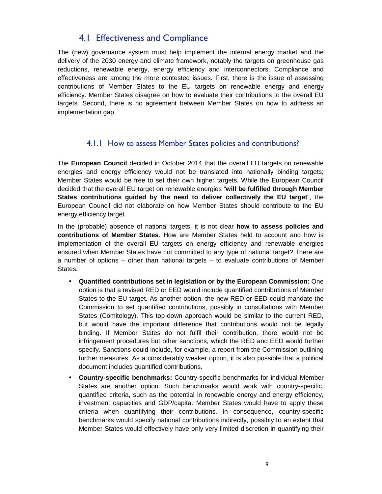## 4.1 Effectiveness and Compliance

The (new) governance system must help implement the internal energy market and the delivery of the 2030 energy and climate framework, notably the targets on greenhouse gas reductions, renewable energy, energy efficiency and interconnectors. Compliance and effectiveness are among the more contested issues. First, there is the issue of assessing contributions of Member States to the EU targets on renewable energy and energy efficiency. Member States disagree on how to evaluate their contributions to the overall EU targets. Second, there is no agreement between Member States on how to address an implementation gap.

### 4.1.1 How to assess Member States policies and contributions?

The **European Council** decided in October 2014 that the overall EU targets on renewable energies and energy efficiency would not be translated into nationally binding targets; Member States would be free to set their own higher targets. While the European Council decided that the overall EU target on renewable energies "**will be fulfilled through Member States contributions guided by the need to deliver collectively the EU target**", the European Council did not elaborate on how Member States should contribute to the EU energy efficiency target.

In the (probable) absence of national targets, it is not clear **how to assess policies and contributions of Member States**. How are Member States held to account and how is implementation of the overall EU targets on energy efficiency and renewable energies ensured when Member States have not committed to any type of national target? There are a number of options – other than national targets – to evaluate contributions of Member States:

- **Quantified contributions set in legislation or by the European Commission:** One option is that a revised RED or EED would include quantified contributions of Member States to the EU target. As another option, the new RED or EED could mandate the Commission to set quantified contributions, possibly in consultations with Member States (Comitology). This top-down approach would be similar to the current RED, but would have the important difference that contributions would not be legally binding. If Member States do not fulfil their contribution, there would not be infringement procedures but other sanctions, which the RED and EED would further specify. Sanctions could include, for example, a report from the Commission outlining further measures. As a considerably weaker option, it is also possible that a political document includes quantified contributions.
- **Country-specific benchmarks:** Country-specific benchmarks for individual Member States are another option. Such benchmarks would work with country-specific, quantified criteria, such as the potential in renewable energy and energy efficiency, investment capacities and GDP/capita. Member States would have to apply these criteria when quantifying their contributions. In consequence, country-specific benchmarks would specify national contributions indirectly, possibly to an extent that Member States would effectively have only very limited discretion in quantifying their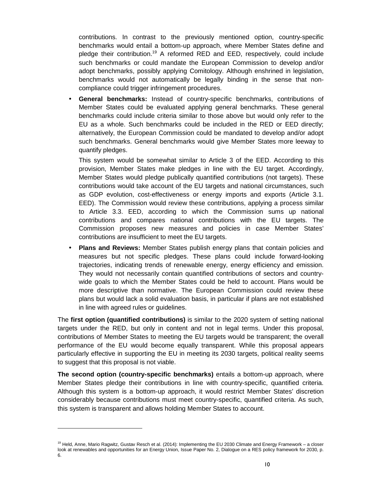contributions. In contrast to the previously mentioned option, country-specific benchmarks would entail a bottom-up approach, where Member States define and pledge their contribution.<sup>19</sup> A reformed RED and EED, respectively, could include such benchmarks or could mandate the European Commission to develop and/or adopt benchmarks, possibly applying Comitology. Although enshrined in legislation, benchmarks would not automatically be legally binding in the sense that noncompliance could trigger infringement procedures.

• **General benchmarks:** Instead of country-specific benchmarks, contributions of Member States could be evaluated applying general benchmarks. These general benchmarks could include criteria similar to those above but would only refer to the EU as a whole. Such benchmarks could be included in the RED or EED directly; alternatively, the European Commission could be mandated to develop and/or adopt such benchmarks. General benchmarks would give Member States more leeway to quantify pledges.

This system would be somewhat similar to Article 3 of the EED. According to this provision, Member States make pledges in line with the EU target. Accordingly, Member States would pledge publically quantified contributions (not targets). These contributions would take account of the EU targets and national circumstances, such as GDP evolution, cost-effectiveness or energy imports and exports (Article 3.1. EED). The Commission would review these contributions, applying a process similar to Article 3.3. EED, according to which the Commission sums up national contributions and compares national contributions with the EU targets. The Commission proposes new measures and policies in case Member States' contributions are insufficient to meet the EU targets.

• **Plans and Reviews:** Member States publish energy plans that contain policies and measures but not specific pledges. These plans could include forward-looking trajectories, indicating trends of renewable energy, energy efficiency and emission. They would not necessarily contain quantified contributions of sectors and countrywide goals to which the Member States could be held to account. Plans would be more descriptive than normative. The European Commission could review these plans but would lack a solid evaluation basis, in particular if plans are not established in line with agreed rules or guidelines.

The **first option (quantified contributions)** is similar to the 2020 system of setting national targets under the RED, but only in content and not in legal terms. Under this proposal, contributions of Member States to meeting the EU targets would be transparent; the overall performance of the EU would become equally transparent. While this proposal appears particularly effective in supporting the EU in meeting its 2030 targets, political reality seems to suggest that this proposal is not viable.

**The second option (country-specific benchmarks)** entails a bottom-up approach, where Member States pledge their contributions in line with country-specific, quantified criteria. Although this system is a bottom-up approach, it would restrict Member States' discretion considerably because contributions must meet country-specific, quantified criteria. As such, this system is transparent and allows holding Member States to account.

<sup>&</sup>lt;sup>19</sup> Held, Anne, Mario Ragwitz, Gustav Resch et al. (2014): Implementing the EU 2030 Climate and Energy Framework - a closer look at renewables and opportunities for an Energy Union, Issue Paper No. 2, Dialogue on a RES policy framework for 2030, p. 6.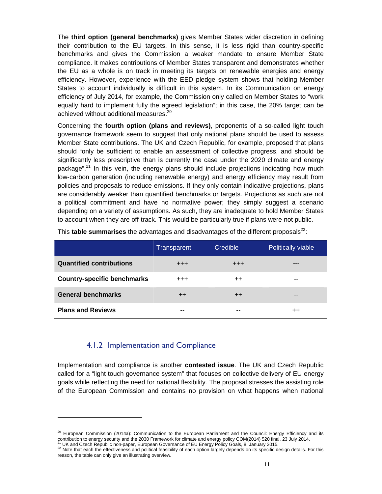The **third option (general benchmarks)** gives Member States wider discretion in defining their contribution to the EU targets. In this sense, it is less rigid than country-specific benchmarks and gives the Commission a weaker mandate to ensure Member State compliance. It makes contributions of Member States transparent and demonstrates whether the EU as a whole is on track in meeting its targets on renewable energies and energy efficiency. However, experience with the EED pledge system shows that holding Member States to account individually is difficult in this system. In its Communication on energy efficiency of July 2014, for example, the Commission only called on Member States to "work equally hard to implement fully the agreed legislation"; in this case, the 20% target can be achieved without additional measures.<sup>20</sup>

Concerning the **fourth option (plans and reviews)**, proponents of a so-called light touch governance framework seem to suggest that only national plans should be used to assess Member State contributions. The UK and Czech Republic, for example, proposed that plans should "only be sufficient to enable an assessment of collective progress, and should be significantly less prescriptive than is currently the case under the 2020 climate and energy package".<sup>21</sup> In this vein, the energy plans should include projections indicating how much low-carbon generation (including renewable energy) and energy efficiency may result from policies and proposals to reduce emissions. If they only contain indicative projections, plans are considerably weaker than quantified benchmarks or targets. Projections as such are not a political commitment and have no normative power; they simply suggest a scenario depending on a variety of assumptions. As such, they are inadequate to hold Member States to account when they are off-track. This would be particularly true if plans were not public.

|                                    | Transparent      | Credible         | Politically viable |
|------------------------------------|------------------|------------------|--------------------|
| <b>Quantified contributions</b>    | $^{+++}$         | $^{+++}$         | ---                |
| <b>Country-specific benchmarks</b> | $^{+++}$         | $^{\mathrm{++}}$ | --                 |
| <b>General benchmarks</b>          | $^{\mathrm{++}}$ | $^{\mathrm{++}}$ | --                 |
| <b>Plans and Reviews</b>           | --               | --               | $^{++}$            |

This **table summarises** the advantages and disadvantages of the different proposals<sup>22</sup>:

#### 4.1.2 Implementation and Compliance

1

Implementation and compliance is another **contested issue**. The UK and Czech Republic called for a "light touch governance system" that focuses on collective delivery of EU energy goals while reflecting the need for national flexibility. The proposal stresses the assisting role of the European Commission and contains no provision on what happens when national

<sup>&</sup>lt;sup>20</sup> European Commission (2014a): Communication to the European Parliament and the Council: Energy Efficiency and its contribution to energy security and the 2030 Framework for climate and energy policy COM(2014) 520 final, 23 July 2014. UK and Czech Republic non-paper, European Governance of EU Energy Policy Goals, 8. January 2015.

<sup>&</sup>lt;sup>22</sup> Note that each the effectiveness and political feasibility of each option largely depends on its specific design details. For this reason, the table can only give an illustrating overview.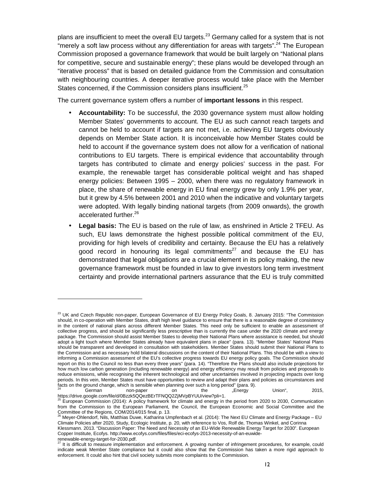plans are insufficient to meet the overall EU targets.<sup>23</sup> Germany called for a system that is not "merely a soft law process without any differentiation for areas with targets".<sup>24</sup> The European Commission proposed a governance framework that would be built largely on "National plans for competitive, secure and sustainable energy"; these plans would be developed through an "iterative process" that is based on detailed guidance from the Commission and consultation with neighbouring countries. A deeper iterative process would take place with the Member States concerned, if the Commission considers plans insufficient.<sup>25</sup>

The current governance system offers a number of **important lessons** in this respect.

- **Accountability:** To be successful, the 2030 governance system must allow holding Member States' governments to account. The EU as such cannot reach targets and cannot be held to account if targets are not met, i.e. achieving EU targets obviously depends on Member State action. It is inconceivable how Member States could be held to account if the governance system does not allow for a verification of national contributions to EU targets. There is empirical evidence that accountability through targets has contributed to climate and energy policies' success in the past. For example, the renewable target has considerable political weight and has shaped energy policies: Between 1995 – 2000, when there was no regulatory framework in place, the share of renewable energy in EU final energy grew by only 1.9% per year, but it grew by 4.5% between 2001 and 2010 when the indicative and voluntary targets were adopted. With legally binding national targets (from 2009 onwards), the growth accelerated further.<sup>26</sup>
- **Legal basis:** The EU is based on the rule of law, as enshrined in Article 2 TFEU. As such, EU laws demonstrate the highest possible political commitment of the EU, providing for high levels of credibility and certainty. Because the EU has a relatively good record in honouring its legal commitments $27$  and because the EU has demonstrated that legal obligations are a crucial element in its policy making, the new governance framework must be founded in law to give investors long term investment certainty and provide international partners assurance that the EU is truly committed

facts on the ground change, which is sensible when planning over such a long period" (para. 9).  $24$  German non-paper on the "Energy Union", 2015,

Klessmann. 2013. "Discussion Paper: The Need and Necessity of an EU-Wide Renewable Energy Target for 2030". European Copper Institute, Ecofys. http://www.ecofys.com/files/files/eci-ecofys-2013-necessity-of-an-euwide-

renewable-energy-target-for-2030.pdf.<br> $^{27}$  It is difficult to measure

<sup>&</sup>lt;sup>23</sup> UK and Czech Republic non-paper, European Governance of EU Energy Policy Goals, 8. January 2015: "The Commission should, in co-operation with Member States, draft high level guidance to ensure that there is a reasonable degree of consistency in the content of national plans across different Member States. This need only be sufficient to enable an assessment of collective progress, and should be significantly less prescriptive than is currently the case under the 2020 climate and energy package. The Commission should assist Member States to develop their National Plans where assistance is needed, but should adopt a light touch where Member States already have equivalent plans in place" (para. 13). "Member States' National Plans should be transparent and developed in consultation with stakeholders. Member States should submit their National Plans to the Commission and as necessary hold bilateral discussions on the content of their National Plans. This should be with a view to informing a Commission assessment of the EU's collective progress towards EU energy policy goals. The Commission should report on this to the Council no less than every three years" (para. 14). "Therefore the Plans should also include projections for how much low carbon generation (including renewable energy) and energy efficiency may result from policies and proposals to reduce emissions, while recognising the inherent technological and other uncertainties involved in projecting impacts over long periods. In this vein, Member States must have opportunities to review and adapt their plans and policies as circumstances and

https://drive.google.com/file/d/0Bzzk5QQezBErTFNQQ2ZjMVpBYUU/view?pli=1.<br><sup>25</sup> European Commission (2014): A policy framework for climate and energy in the period from 2020 to 2030, Communication from the Commission to the European Parliament, the Council, the European Economic and Social Committee and the

Committee of the Regions, COM/2014/015 final, p. 13.<br><sup>26</sup> Meyer-Ohlendorf, Nils, Matthias Duwe, Katharina Umpfenbach et al. (2014): The Next EU Climate and Energy Package – EU Climate Policies after 2020, Study, Ecologic Institute, p. 20, with reference to Vos, Rolf de, Thomas Winkel, and Corinna

It is difficult to measure implementation and enforcement. A growing number of infringement procedures, for example, could indicate weak Member State compliance but it could also show that the Commission has taken a more rigid approach to enforcement. It could also hint that civil society submits more complaints to the Commission.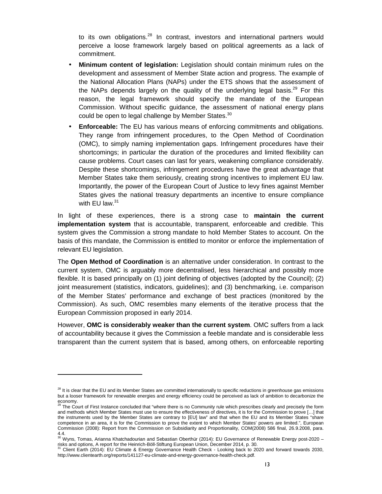to its own obligations.<sup>28</sup> In contrast, investors and international partners would perceive a loose framework largely based on political agreements as a lack of commitment.

- **Minimum content of legislation:** Legislation should contain minimum rules on the development and assessment of Member State action and progress. The example of the National Allocation Plans (NAPs) under the ETS shows that the assessment of the NAPs depends largely on the quality of the underlying legal basis.<sup>29</sup> For this reason, the legal framework should specify the mandate of the European Commission. Without specific guidance, the assessment of national energy plans could be open to legal challenge by Member States.<sup>30</sup>
- **Enforceable:** The EU has various means of enforcing commitments and obligations. They range from infringement procedures, to the Open Method of Coordination (OMC), to simply naming implementation gaps. Infringement procedures have their shortcomings; in particular the duration of the procedures and limited flexibility can cause problems. Court cases can last for years, weakening compliance considerably. Despite these shortcomings, infringement procedures have the great advantage that Member States take them seriously, creating strong incentives to implement EU law. Importantly, the power of the European Court of Justice to levy fines against Member States gives the national treasury departments an incentive to ensure compliance with EU law. $31$

In light of these experiences, there is a strong case to **maintain the current implementation system** that is accountable, transparent, enforceable and credible. This system gives the Commission a strong mandate to hold Member States to account. On the basis of this mandate, the Commission is entitled to monitor or enforce the implementation of relevant EU legislation.

The **Open Method of Coordination** is an alternative under consideration. In contrast to the current system, OMC is arguably more decentralised, less hierarchical and possibly more flexible. It is based principally on (1) joint defining of objectives (adopted by the Council); (2) joint measurement (statistics, indicators, guidelines); and (3) benchmarking, i.e. comparison of the Member States' performance and exchange of best practices (monitored by the Commission). As such, OMC resembles many elements of the iterative process that the European Commission proposed in early 2014.

However, **OMC is considerably weaker than the current system**. OMC suffers from a lack of accountability because it gives the Commission a feeble mandate and is considerable less transparent than the current system that is based, among others, on enforceable reporting

 $28$  It is clear that the EU and its Member States are committed internationally to specific reductions in greenhouse gas emissions but a looser framework for renewable energies and energy efficiency could be perceived as lack of ambition to decarbonize the economy.<br><sup>29</sup> The Co

The Court of First Instance concluded that "where there is no Community rule which prescribes clearly and precisely the form and methods which Member States must use to ensure the effectiveness of directives, it is for the Commission to prove […] that the instruments used by the Member States are contrary to [EU] law" and that when the EU and its Member States "share competence in an area, it is for the Commission to prove the extent to which Member States' powers are limited.", European Commission (2008): Report from the Commission on Subsidiarity and Proportionality, COM(2008) 586 final, 26.9.2008, para.

<sup>4.4.</sup>  <sup>30</sup> Wyns, Tomas, Arianna Khatchadourian and Sebastian Oberthür (2014): EU Governance of Renewable Energy post-2020 – risks and options, A report for the Heinrich-Böll-Stiftung European Union, December 2014, p. 30.<br><sup>31</sup> Client-Earth (2014): ELL Climate, 8, Energy Causes (2014): Client-Böll-Stiftung European Union, December 2014, p. 30.

<sup>31</sup> Client Earth (2014): EU Climate & Energy Governance Health Check - Looking back to 2020 and forward towards 2030, http://www.clientearth.org/reports/141127-eu-climate-and-energy-governance-health-check.pdf.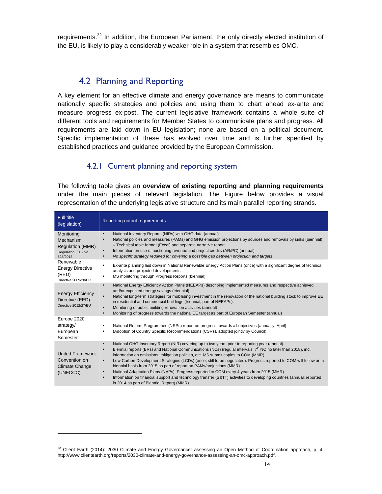requirements.<sup>32</sup> In addition, the European Parliament, the only directly elected institution of the EU, is likely to play a considerably weaker role in a system that resembles OMC.

## 4.2 Planning and Reporting

A key element for an effective climate and energy governance are means to communicate nationally specific strategies and policies and using them to chart ahead ex-ante and measure progress ex-post. The current legislative framework contains a whole suite of different tools and requirements for Member States to communicate plans and progress. All requirements are laid down in EU legislation; none are based on a political document. Specific implementation of these has evolved over time and is further specified by established practices and guidance provided by the European Commission.

## 4.2.1 Current planning and reporting system

The following table gives an **overview of existing reporting and planning requirements** under the main pieces of relevant legislation. The Figure below provides a visual representation of the underlying legislative structure and its main parallel reporting strands.

| <b>Full title</b><br>(legislation)                                                   | Reporting output requirements                                                                                                                                                                                                                                                                                                                                                                                                                                                                                                                                                                                                                                                                                                                                                                                                           |
|--------------------------------------------------------------------------------------|-----------------------------------------------------------------------------------------------------------------------------------------------------------------------------------------------------------------------------------------------------------------------------------------------------------------------------------------------------------------------------------------------------------------------------------------------------------------------------------------------------------------------------------------------------------------------------------------------------------------------------------------------------------------------------------------------------------------------------------------------------------------------------------------------------------------------------------------|
| Monitoring<br>Mechanism<br><b>Regulation (MMR)</b><br>Regulation (EU) No<br>525/2013 | National Inventory Reports (NIRs) with GHG data (annual)<br>$\bullet$<br>National policies and measures (PAMs) and GHG emission projections by sources and removals by sinks (biennial)<br>$\bullet$<br>- Technical table format (Excel) and separate narrative report<br>Information on use of auctioning revenue and project credits (AR/PC) (annual)<br>٠<br>No specific strategy required for covering a possible gap between projection and targets<br>$\bullet$                                                                                                                                                                                                                                                                                                                                                                   |
| Renewable<br><b>Energy Directive</b><br>(RED)<br>Directive 2009/28/EC                | Ex-ante planning laid down in National Renewable Energy Action Plans (once) with a significant degree of technical<br>٠<br>analysis and projected developments<br>MS monitoring through Progress Reports (biennial)<br>٠                                                                                                                                                                                                                                                                                                                                                                                                                                                                                                                                                                                                                |
| <b>Energy Efficiency</b><br>Directive (EED)<br>Directive 2012/27/EU                  | National Energy Efficiency Action Plans (NEEAPs) describing implemented measures and respective achieved<br>$\bullet$<br>and/or expected energy savings (triennial)<br>National long-term strategies for mobilising investment in the renovation of the national building stock to improve EE<br>$\bullet$<br>in residential and commercial buildings (triennial, part of NEEAPs).<br>Monitoring of public building renovation activities (annual)<br>$\bullet$<br>Monitoring of progress towards the national EE target as part of European Semester (annual)<br>$\bullet$                                                                                                                                                                                                                                                             |
| Europe 2020<br>strategy/<br>European<br>Semester                                     | National Reform Programmes (NRPs) report on progress towards all objectives (annually, April)<br>٠<br>(Adoption of Country Specific Recommendations (CSRs), adopted jointly by Council)<br>٠                                                                                                                                                                                                                                                                                                                                                                                                                                                                                                                                                                                                                                            |
| <b>United Framework</b><br>Convention on<br><b>Climate Change</b><br>(UNFCCC)        | National GHG Inventory Report (NIR) covering up to two years prior to reporting year (annual).<br>$\bullet$<br>Biennial reports (BRs) and National Communications (NCs) (regular intervals; $7th$ NC no later than 2018), incl.<br>$\bullet$<br>information on emissions, mitigation policies, etc. MS submit copies to COM (MMR)<br>Low-Carbon Development Strategies (LCDs) (once; still to be negotiated). Progress reported to COM will follow on a<br>$\bullet$<br>biennial basis from 2015 as part of report on PAMs/projections (MMR)<br>National Adaptation Plans (NAPs). Progress reported to COM every 4 years from 2015 (MMR)<br>$\bullet$<br>Information on financial support and technology transfer (S&TT) activities to developing countries (annual; reported<br>$\bullet$<br>in 2014 as part of Biennial Report) (MMR) |

 $32$  Client Earth (2014): 2030 Climate and Energy Governance: assessing an Open Method of Coordination approach, p. 4, http://www.clientearth.org/reports/2030-climate-and-energy-governance-assessing-an-omc-approach.pdf.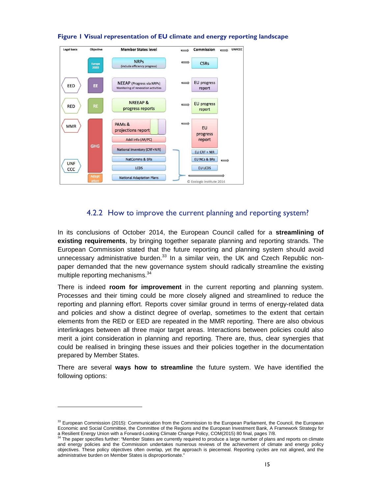

#### **Figure 1 Visual representation of EU climate and energy reporting landscape**

### 4.2.2 How to improve the current planning and reporting system?

In its conclusions of October 2014, the European Council called for a **streamlining of existing requirements**, by bringing together separate planning and reporting strands. The European Commission stated that the future reporting and planning system should avoid unnecessary administrative burden. $33$  In a similar vein, the UK and Czech Republic nonpaper demanded that the new governance system should radically streamline the existing multiple reporting mechanisms.<sup>34</sup>

There is indeed **room for improvement** in the current reporting and planning system. Processes and their timing could be more closely aligned and streamlined to reduce the reporting and planning effort. Reports cover similar ground in terms of energy-related data and policies and show a distinct degree of overlap, sometimes to the extent that certain elements from the RED or EED are repeated in the MMR reporting. There are also obvious interlinkages between all three major target areas. Interactions between policies could also merit a joint consideration in planning and reporting. There are, thus, clear synergies that could be realised in bringing these issues and their policies together in the documentation prepared by Member States.

There are several **ways how to streamline** the future system. We have identified the following options:

<sup>&</sup>lt;sup>33</sup> European Commission (2015): Communication from the Commission to the European Parliament, the Council, the European Economic and Social Committee, the Committee of the Regions and the European Investment Bank, A Framework Strategy for a Resilient Energy Union with a Forward-Looking Climate Change Policy, COM(2015) 80 final, pages 7/8.

The paper specifies further: "Member States are currently required to produce a large number of plans and reports on climate and energy policies and the Commission undertakes numerous reviews of the achievement of climate and energy policy objectives. These policy objectives often overlap, yet the approach is piecemeal. Reporting cycles are not aligned, and the administrative burden on Member States is disproportionate."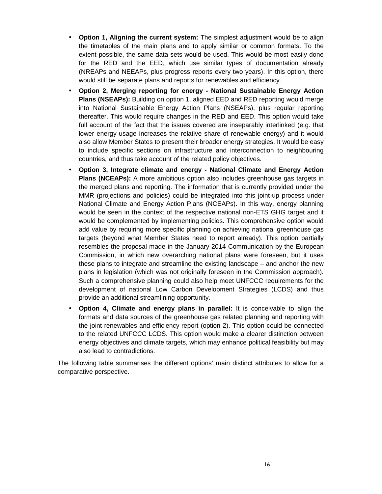- **Option 1, Aligning the current system:** The simplest adjustment would be to align the timetables of the main plans and to apply similar or common formats. To the extent possible, the same data sets would be used. This would be most easily done for the RED and the EED, which use similar types of documentation already (NREAPs and NEEAPs, plus progress reports every two years). In this option, there would still be separate plans and reports for renewables and efficiency.
- **Option 2, Merging reporting for energy National Sustainable Energy Action Plans (NSEAPs):** Building on option 1, aligned EED and RED reporting would merge into National Sustainable Energy Action Plans (NSEAPs), plus regular reporting thereafter. This would require changes in the RED and EED. This option would take full account of the fact that the issues covered are inseparably interlinked (e.g. that lower energy usage increases the relative share of renewable energy) and it would also allow Member States to present their broader energy strategies. It would be easy to include specific sections on infrastructure and interconnection to neighbouring countries, and thus take account of the related policy objectives.
- **Option 3, Integrate climate and energy National Climate and Energy Action Plans (NCEAPs):** A more ambitious option also includes greenhouse gas targets in the merged plans and reporting. The information that is currently provided under the MMR (projections and policies) could be integrated into this joint-up process under National Climate and Energy Action Plans (NCEAPs). In this way, energy planning would be seen in the context of the respective national non-ETS GHG target and it would be complemented by implementing policies. This comprehensive option would add value by requiring more specific planning on achieving national greenhouse gas targets (beyond what Member States need to report already). This option partially resembles the proposal made in the January 2014 Communication by the European Commission, in which new overarching national plans were foreseen, but it uses these plans to integrate and streamline the existing landscape – and anchor the new plans in legislation (which was not originally foreseen in the Commission approach). Such a comprehensive planning could also help meet UNFCCC requirements for the development of national Low Carbon Development Strategies (LCDS) and thus provide an additional streamlining opportunity.
- **Option 4, Climate and energy plans in parallel:** It is conceivable to align the formats and data sources of the greenhouse gas related planning and reporting with the joint renewables and efficiency report (option 2). This option could be connected to the related UNFCCC LCDS. This option would make a clearer distinction between energy objectives and climate targets, which may enhance political feasibility but may also lead to contradictions.

The following table summarises the different options' main distinct attributes to allow for a comparative perspective.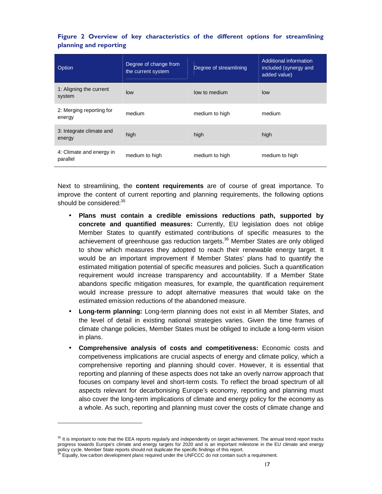|  |                        |  | Figure 2 Overview of key characteristics of the different options for streamlining |  |  |  |
|--|------------------------|--|------------------------------------------------------------------------------------|--|--|--|
|  | planning and reporting |  |                                                                                    |  |  |  |

| Option                               | Degree of change from<br>the current system | Degree of streamlining | Additional information<br>included (synergy and<br>added value) |
|--------------------------------------|---------------------------------------------|------------------------|-----------------------------------------------------------------|
| 1: Aligning the current<br>system    | low                                         | low to medium          | low                                                             |
| 2: Merging reporting for<br>energy   | medium                                      | medium to high         | medium                                                          |
| 3: Integrate climate and<br>energy   | high                                        | high                   | high                                                            |
| 4: Climate and energy in<br>parallel | medium to high                              | medium to high         | medium to high                                                  |

Next to streamlining, the **content requirements** are of course of great importance. To improve the content of current reporting and planning requirements, the following options should be considered:<sup>35</sup>

- **Plans must contain a credible emissions reductions path, supported by concrete and quantified measures:** Currently, EU legislation does not oblige Member States to quantify estimated contributions of specific measures to the achievement of greenhouse gas reduction targets.<sup>36</sup> Member States are only obliged to show which measures they adopted to reach their renewable energy target. It would be an important improvement if Member States' plans had to quantify the estimated mitigation potential of specific measures and policies. Such a quantification requirement would increase transparency and accountability. If a Member State abandons specific mitigation measures, for example, the quantification requirement would increase pressure to adopt alternative measures that would take on the estimated emission reductions of the abandoned measure.
- **Long-term planning:** Long-term planning does not exist in all Member States, and the level of detail in existing national strategies varies. Given the time frames of climate change policies, Member States must be obliged to include a long-term vision in plans.
- **Comprehensive analysis of costs and competitiveness:** Economic costs and competiveness implications are crucial aspects of energy and climate policy, which a comprehensive reporting and planning should cover. However, it is essential that reporting and planning of these aspects does not take an overly narrow approach that focuses on company level and short-term costs. To reflect the broad spectrum of all aspects relevant for decarbonising Europe's economy, reporting and planning must also cover the long-term implications of climate and energy policy for the economy as a whole. As such, reporting and planning must cover the costs of climate change and

<sup>&</sup>lt;sup>35</sup> It is important to note that the EEA reports regularly and independently on target achievement. The annual trend report tracks progress towards Europe's climate and energy targets for 2020 and is an important milestone in the EU climate and energy

policy cycle. Member State reports should not duplicate the specific findings of this report.<br><sup>36</sup> Equally, low carbon development plans required under the UNFCCC do not contain such a requirement.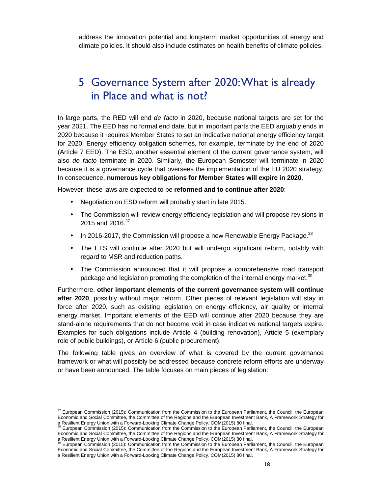address the innovation potential and long-term market opportunities of energy and climate policies. It should also include estimates on health benefits of climate policies.

# 5 Governance System after 2020: What is already in Place and what is not?

In large parts, the RED will end de facto in 2020, because national targets are set for the year 2021. The EED has no formal end date, but in important parts the EED arguably ends in 2020 because it requires Member States to set an indicative national energy efficiency target for 2020. Energy efficiency obligation schemes, for example, terminate by the end of 2020 (Article 7 EED). The ESD, another essential element of the current governance system, will also de facto terminate in 2020. Similarly, the European Semester will terminate in 2020 because it is a governance cycle that oversees the implementation of the EU 2020 strategy. In consequence, **numerous key obligations for Member States will expire in 2020**.

However, these laws are expected to be **reformed and to continue after 2020**:

- Negotiation on ESD reform will probably start in late 2015.
- The Commission will review energy efficiency legislation and will propose revisions in 2015 and 2016.<sup>37</sup>
- In 2016-2017, the Commission will propose a new Renewable Energy Package.<sup>38</sup>
- The ETS will continue after 2020 but will undergo significant reform, notably with regard to MSR and reduction paths.
- The Commission announced that it will propose a comprehensive road transport package and legislation promoting the completion of the internal energy market.<sup>39</sup>

Furthermore, **other important elements of the current governance system will continue after 2020**, possibly without major reform. Other pieces of relevant legislation will stay in force after 2020, such as existing legislation on energy efficiency, air quality or internal energy market. Important elements of the EED will continue after 2020 because they are stand-alone requirements that do not become void in case indicative national targets expire. Examples for such obligations include Article 4 (building renovation), Article 5 (exemplary role of public buildings), or Article 6 (public procurement).

The following table gives an overview of what is covered by the current governance framework or what will possibly be addressed because concrete reform efforts are underway or have been announced. The table focuses on main pieces of legislation:

 $37$  European Commission (2015): Communication from the Commission to the European Parliament, the Council, the European Economic and Social Committee, the Committee of the Regions and the European Investment Bank, A Framework Strategy for a Resilient Energy Union with a Forward-Looking Climate Change Policy, COM(2015) 80 final.

European Commission (2015): Communication from the Commission to the European Parliament, the Council, the European Economic and Social Committee, the Committee of the Regions and the European Investment Bank, A Framework Strategy for a Resilient Energy Union with a Forward-Looking Climate Change Policy, COM(2015) 80 final.<br><sup>39</sup> Furnness Commission (2015) 20 final.

European Commission (2015): Communication from the Commission to the European Parliament, the Council, the European Economic and Social Committee, the Committee of the Regions and the European Investment Bank, A Framework Strategy for a Resilient Energy Union with a Forward-Looking Climate Change Policy, COM(2015) 80 final.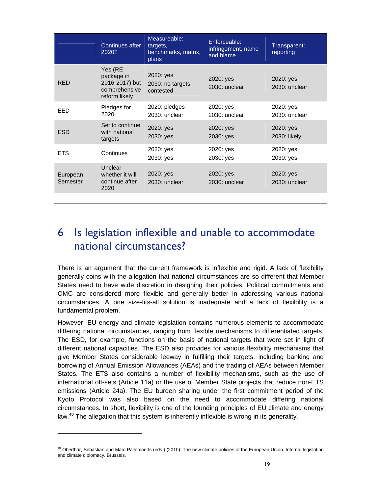|                      | Continues after<br>2020?                                                  | Measureable:<br>targets,<br>benchmarks, matrix,<br>plans | Enforceable:<br>infringement, name<br>and blame | Transparent:<br>reporting  |
|----------------------|---------------------------------------------------------------------------|----------------------------------------------------------|-------------------------------------------------|----------------------------|
| <b>RED</b>           | Yes (RE<br>package in<br>2016-2017) but<br>comprehensive<br>reform likely | 2020: yes<br>2030: no targets,<br>contested              | 2020: yes<br>2030: unclear                      | 2020: yes<br>2030: unclear |
| EED                  | Pledges for<br>2020                                                       | 2020: pledges<br>2030: unclear                           | 2020: yes<br>2030: unclear                      | 2020: yes<br>2030: unclear |
| <b>ESD</b>           | Set to continue<br>with national<br>targets                               | 2020: yes<br>2030: yes                                   | 2020: yes<br>2030: yes                          | 2020: yes<br>2030: likely  |
| <b>ETS</b>           | Continues                                                                 | 2020: yes<br>2030: yes                                   | 2020: yes<br>2030: yes                          | 2020: yes<br>2030: yes     |
| European<br>Semester | Unclear<br>whether it will<br>continue after<br>2020                      | 2020: yes<br>2030: unclear                               | 2020: yes<br>2030: unclear                      | 2020: yes<br>2030: unclear |

# 6 Is legislation inflexible and unable to accommodate national circumstances?

There is an argument that the current framework is inflexible and rigid. A lack of flexibility generally coins with the allegation that national circumstances are so different that Member States need to have wide discretion in designing their policies. Political commitments and OMC are considered more flexible and generally better in addressing various national circumstances. A one size-fits-all solution is inadequate and a lack of flexibility is a fundamental problem.

However, EU energy and climate legislation contains numerous elements to accommodate differing national circumstances, ranging from flexible mechanisms to differentiated targets. The ESD, for example, functions on the basis of national targets that were set in light of different national capacities. The ESD also provides for various flexibility mechanisms that give Member States considerable leeway in fulfilling their targets, including banking and borrowing of Annual Emission Allowances (AEAs) and the trading of AEAs between Member States. The ETS also contains a number of flexibility mechanisms, such as the use of international off-sets (Article 11a) or the use of Member State projects that reduce non-ETS emissions (Article 24a). The EU burden sharing under the first commitment period of the Kyoto Protocol was also based on the need to accommodate differing national circumstances. In short, flexibility is one of the founding principles of EU climate and energy law.<sup>40</sup> The allegation that this system is inherently inflexible is wrong in its generality.

<sup>&</sup>lt;sup>40</sup> Oberthür, Sebastian and Marc Pallemaerts (eds.) (2010): The new climate policies of the European Union. Internal legislation and climate diplomacy. Brussels.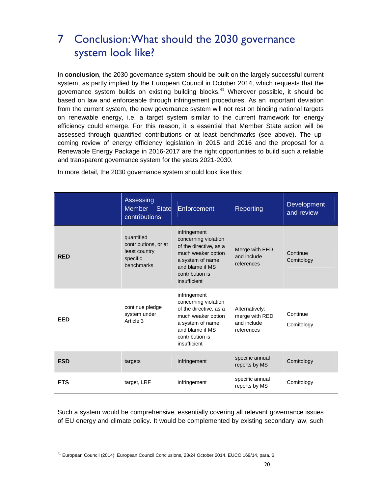# 7 Conclusion: What should the 2030 governance system look like?

In **conclusion**, the 2030 governance system should be built on the largely successful current system, as partly implied by the European Council in October 2014, which requests that the governance system builds on existing building blocks. $41$  Wherever possible, it should be based on law and enforceable through infringement procedures. As an important deviation from the current system, the new governance system will not rest on binding national targets on renewable energy, i.e. a target system similar to the current framework for energy efficiency could emerge. For this reason, it is essential that Member State action will be assessed through quantified contributions or at least benchmarks (see above). The upcoming review of energy efficiency legislation in 2015 and 2016 and the proposal for a Renewable Energy Package in 2016-2017 are the right opportunities to build such a reliable and transparent governance system for the years 2021-2030.

|            | Assessing<br><b>Member</b><br><b>State</b><br>contributions                   | Enforcement                                                                                                                                                    | Reporting                                                     | Development<br>and review |
|------------|-------------------------------------------------------------------------------|----------------------------------------------------------------------------------------------------------------------------------------------------------------|---------------------------------------------------------------|---------------------------|
| <b>RED</b> | quantified<br>contributions, or at<br>least country<br>specific<br>benchmarks | infringement<br>concerning violation<br>of the directive, as a<br>much weaker option<br>a system of name<br>and blame if MS<br>contribution is<br>insufficient | Merge with EED<br>and include<br>references                   | Continue<br>Comitology    |
| <b>EED</b> | continue pledge<br>system under<br>Article 3                                  | infringement<br>concerning violation<br>of the directive, as a<br>much weaker option<br>a system of name<br>and blame if MS<br>contribution is<br>insufficient | Alternatively:<br>merge with RED<br>and include<br>references | Continue<br>Comitology    |
| <b>ESD</b> | targets                                                                       | infringement                                                                                                                                                   | specific annual<br>reports by MS                              | Comitology                |
| <b>ETS</b> | target, LRF                                                                   | infringement                                                                                                                                                   | specific annual<br>reports by MS                              | Comitology                |

In more detail, the 2030 governance system should look like this:

Such a system would be comprehensive, essentially covering all relevant governance issues of EU energy and climate policy. It would be complemented by existing secondary law, such

<sup>41</sup> European Council (2014): European Council Conclusions, 23/24 October 2014. EUCO 169/14, para. 6.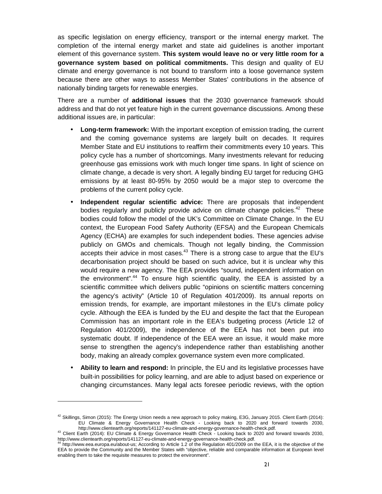as specific legislation on energy efficiency, transport or the internal energy market. The completion of the internal energy market and state aid guidelines is another important element of this governance system. **This system would leave no or very little room for a governance system based on political commitments.** This design and quality of EU climate and energy governance is not bound to transform into a loose governance system because there are other ways to assess Member States' contributions in the absence of nationally binding targets for renewable energies.

There are a number of **additional issues** that the 2030 governance framework should address and that do not yet feature high in the current governance discussions. Among these additional issues are, in particular:

- **Long-term framework:** With the important exception of emission trading, the current and the coming governance systems are largely built on decades. It requires Member State and EU institutions to reaffirm their commitments every 10 years. This policy cycle has a number of shortcomings. Many investments relevant for reducing greenhouse gas emissions work with much longer time spans. In light of science on climate change, a decade is very short. A legally binding EU target for reducing GHG emissions by at least 80-95% by 2050 would be a major step to overcome the problems of the current policy cycle.
- **Independent regular scientific advice:** There are proposals that independent bodies regularly and publicly provide advice on climate change policies. $42$  These bodies could follow the model of the UK's Committee on Climate Change. In the EU context, the European Food Safety Authority (EFSA) and the European Chemicals Agency (ECHA) are examples for such independent bodies. These agencies advise publicly on GMOs and chemicals. Though not legally binding, the Commission accepts their advice in most cases.<sup>43</sup> There is a strong case to argue that the EU's decarbonisation project should be based on such advice, but it is unclear why this would require a new agency. The EEA provides "sound, independent information on the environment".<sup>44</sup> To ensure high scientific quality, the EEA is assisted by a scientific committee which delivers public "opinions on scientific matters concerning the agency's activity" (Article 10 of Regulation 401/2009). Its annual reports on emission trends, for example, are important milestones in the EU's climate policy cycle. Although the EEA is funded by the EU and despite the fact that the European Commission has an important role in the EEA's budgeting process (Article 12 of Regulation 401/2009), the independence of the EEA has not been put into systematic doubt. If independence of the EEA were an issue, it would make more sense to strengthen the agency's independence rather than establishing another body, making an already complex governance system even more complicated.
- **Ability to learn and respond:** In principle, the EU and its legislative processes have built-in possibilities for policy learning, and are able to adjust based on experience or changing circumstances. Many legal acts foresee periodic reviews, with the option

 $42$  Skillings, Simon (2015): The Energy Union needs a new approach to policy making, E3G, January 2015. Client Earth (2014): EU Climate & Energy Governance Health Check - Looking back to 2020 and forward towards 2030, http://www.clientearth.org/reports/141127-eu-climate-and-energy-governance-health-check.pdf.

<sup>&</sup>lt;sup>43</sup> Client Earth (2014): EU Climate & Energy Governance Health Check - Looking back to 2020 and forward towards 2030, http://www.clientearth.org/reports/141127-eu-climate-and-energy-governance-health-check.pdf.

http://www.eea.europa.eu/about-us; According to Article 1.2 of the Regulation 401/2009 on the EEA, it is the objective of the EEA to provide the Community and the Member States with "objective, reliable and comparable information at European level enabling them to take the requisite measures to protect the environment".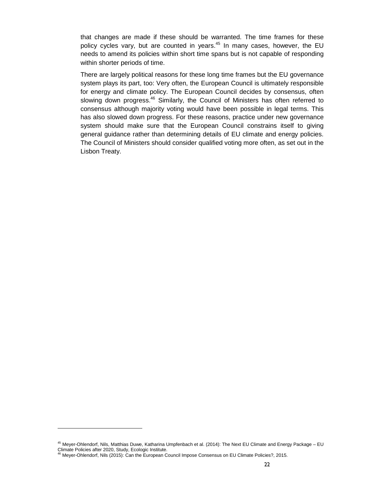that changes are made if these should be warranted. The time frames for these policy cycles vary, but are counted in years.<sup>45</sup> In many cases, however, the EU needs to amend its policies within short time spans but is not capable of responding within shorter periods of time.

There are largely political reasons for these long time frames but the EU governance system plays its part, too: Very often, the European Council is ultimately responsible for energy and climate policy. The European Council decides by consensus, often slowing down progress.<sup>46</sup> Similarly, the Council of Ministers has often referred to consensus although majority voting would have been possible in legal terms. This has also slowed down progress. For these reasons, practice under new governance system should make sure that the European Council constrains itself to giving general guidance rather than determining details of EU climate and energy policies. The Council of Ministers should consider qualified voting more often, as set out in the Lisbon Treaty.

<sup>45</sup> Meyer-Ohlendorf, Nils, Matthias Duwe, Katharina Umpfenbach et al. (2014): The Next EU Climate and Energy Package – EU Climate Policies after 2020, Study, Ecologic Institute.

<sup>&</sup>lt;sup>46</sup> Meyer-Ohlendorf, Nils (2015): Can the European Council Impose Consensus on EU Climate Policies?, 2015.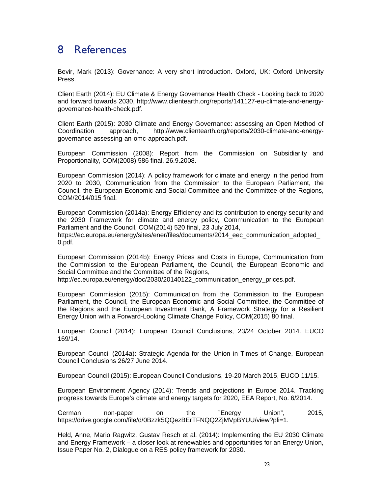## 8 References

Bevir, Mark (2013): Governance: A very short introduction. Oxford, UK: Oxford University Press.

Client Earth (2014): EU Climate & Energy Governance Health Check - Looking back to 2020 and forward towards 2030, http://www.clientearth.org/reports/141127-eu-climate-and-energygovernance-health-check.pdf.

Client Earth (2015): 2030 Climate and Energy Governance: assessing an Open Method of Coordination approach, http://www.clientearth.org/reports/2030-climate-and-energygovernance-assessing-an-omc-approach.pdf.

European Commission (2008): Report from the Commission on Subsidiarity and Proportionality, COM(2008) 586 final, 26.9.2008.

European Commission (2014): A policy framework for climate and energy in the period from 2020 to 2030, Communication from the Commission to the European Parliament, the Council, the European Economic and Social Committee and the Committee of the Regions, COM/2014/015 final.

European Commission (2014a): Energy Efficiency and its contribution to energy security and the 2030 Framework for climate and energy policy, Communication to the European Parliament and the Council, COM(2014) 520 final, 23 July 2014, https://ec.europa.eu/energy/sites/ener/files/documents/2014\_eec\_communication\_adopted\_ 0.pdf.

European Commission (2014b): Energy Prices and Costs in Europe, Communication from the Commission to the European Parliament, the Council, the European Economic and Social Committee and the Committee of the Regions,

http://ec.europa.eu/energy/doc/2030/20140122 communication energy prices.pdf.

European Commission (2015): Communication from the Commission to the European Parliament, the Council, the European Economic and Social Committee, the Committee of the Regions and the European Investment Bank, A Framework Strategy for a Resilient Energy Union with a Forward-Looking Climate Change Policy, COM(2015) 80 final.

European Council (2014): European Council Conclusions, 23/24 October 2014. EUCO 169/14.

European Council (2014a): Strategic Agenda for the Union in Times of Change, European Council Conclusions 26/27 June 2014.

European Council (2015): European Council Conclusions, 19-20 March 2015, EUCO 11/15.

European Environment Agency (2014): Trends and projections in Europe 2014. Tracking progress towards Europe's climate and energy targets for 2020, EEA Report, No. 6/2014.

German non-paper on the "Energy Union", 2015, https://drive.google.com/file/d/0Bzzk5QQezBErTFNQQ2ZjMVpBYUU/view?pli=1.

Held, Anne, Mario Ragwitz, Gustav Resch et al. (2014): Implementing the EU 2030 Climate and Energy Framework – a closer look at renewables and opportunities for an Energy Union, Issue Paper No. 2, Dialogue on a RES policy framework for 2030.